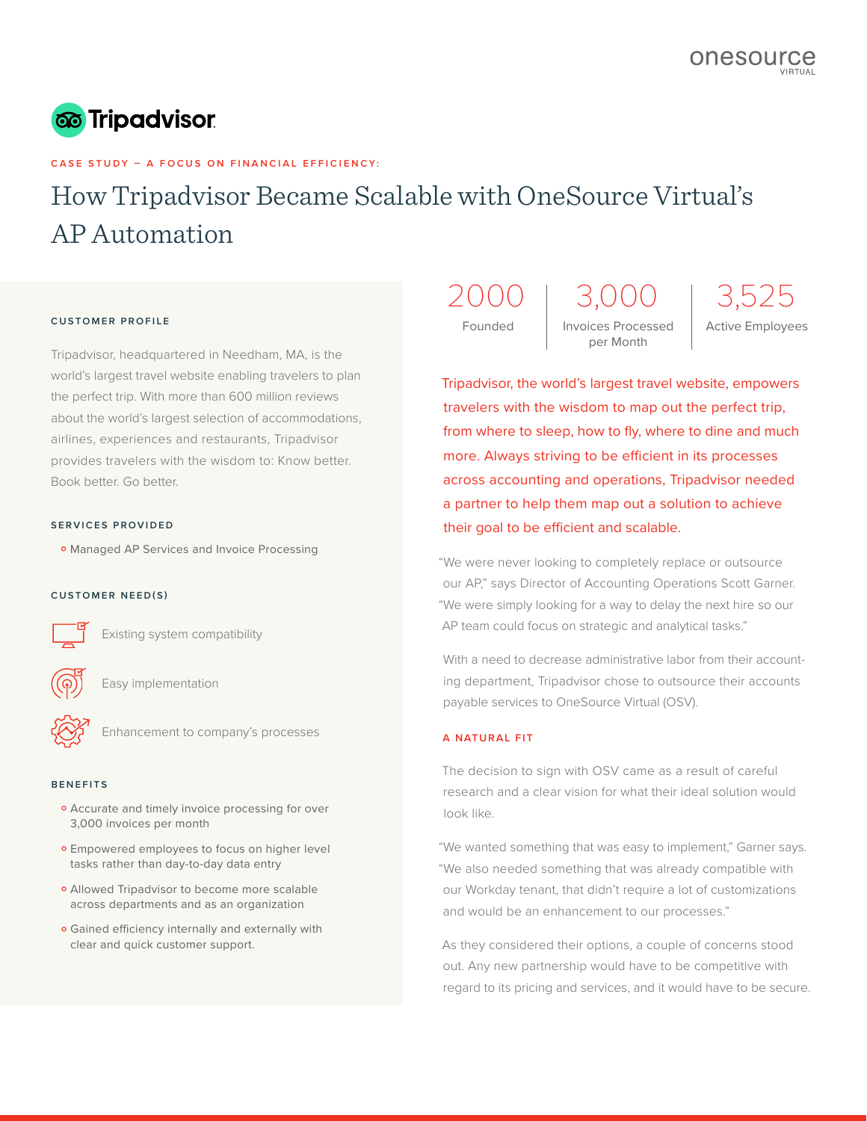

# **CASE STUDY – A FOCUS ON FINANCIAL EFFICIENCY:**

# How Tripadvisor Became Scalable with OneSource Virtual's AP Automation

### **CUSTOMER PROFILE**

Tripadvisor, headquartered in Needham, MA, is the world's largest travel website enabling travelers to plan the perfect trip. With more than 600 million reviews about the world's largest selection of accommodations, airlines, experiences and restaurants, Tripadvisor provides travelers with the wisdom to: Know better. Book better. Go better.

## **SERVICES PROVIDED**

o Managed AP Services and Invoice Processing<br>

## **CUSTOMER NEED(S)**

Existing system compatibility

Easy implementation

Enhancement to company's processes

### **BENEFITS**

- **•** Accurate and timely invoice processing for over<br>3,000 invoices per month 3,000 invoices per month
- **•** Empowered employees to focus on higher level<br>tasks rather than day-to-day data entry tasks rather than day-to-day data entry
- Allowed Tripadvisor to become more scalable<br>across departments and as an organization across departments and as an organization
- **•** Gained efficiency internally and externally with clear and quick customer support. clear and quick customer support.

2000 3,000 3,525

Founded | Invoices Processed | Active Employees per Month

Tripadvisor, the world's largest travel website, empowers travelers with the wisdom to map out the perfect trip, from where to sleep, how to fly, where to dine and much more. Always striving to be efficient in its processes across accounting and operations, Tripadvisor needed a partner to help them map out a solution to achieve their goal to be efficient and scalable.

"We were never looking to completely replace or outsource our AP," says Director of Accounting Operations Scott Garner. "We were simply looking for a way to delay the next hire so our AP team could focus on strategic and analytical tasks."

With a need to decrease administrative labor from their accounting department, Tripadvisor chose to outsource their accounts payable services to OneSource Virtual (OSV).

## **A NATURAL FIT**

The decision to sign with OSV came as a result of careful research and a clear vision for what their ideal solution would look like.

"We wanted something that was easy to implement," Garner says. "We also needed something that was already compatible with our Workday tenant, that didn't require a lot of customizations and would be an enhancement to our processes."

As they considered their options, a couple of concerns stood out. Any new partnership would have to be competitive with regard to its pricing and services, and it would have to be secure.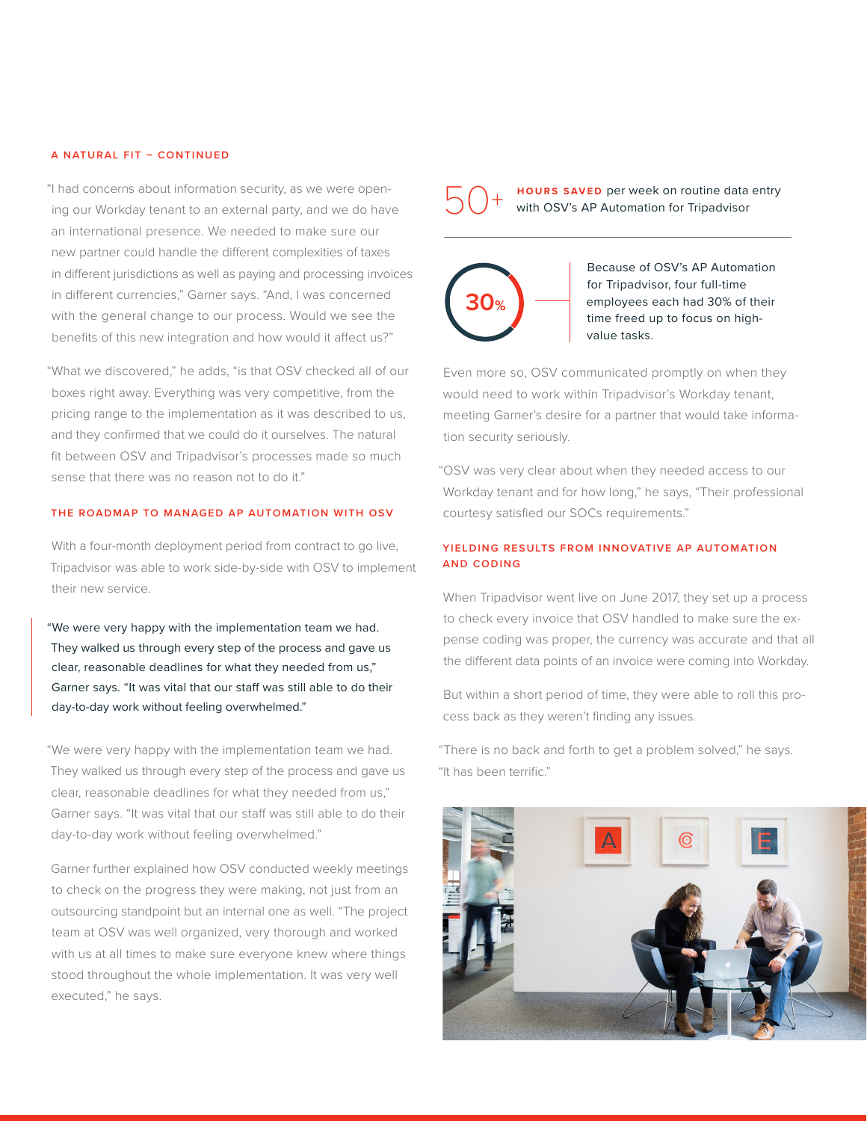## **A NATURAL FIT – CONTINUED**

"I had concerns about information security, as we were opening our Workday tenant to an external party, and we do have an international presence. We needed to make sure our new partner could handle the different complexities of taxes in different jurisdictions as well as paying and processing invoices in different currencies," Garner says. "And, I was concerned with the general change to our process. Would we see the benefits of this new integration and how would it affect us?"

"What we discovered," he adds, "is that OSV checked all of our boxes right away. Everything was very competitive, from the pricing range to the implementation as it was described to us, and they confirmed that we could do it ourselves. The natural fit between OSV and Tripadvisor's processes made so much sense that there was no reason not to do it."

# **THE ROADMAP TO MANAGED AP AUTOMATION WITH OSV**

With a four-month deployment period from contract to go live, Tripadvisor was able to work side-by-side with OSV to implement their new service.

"We were very happy with the implementation team we had. They walked us through every step of the process and gave us clear, reasonable deadlines for what they needed from us," Garner says. "It was vital that our staff was still able to do their day-to-day work without feeling overwhelmed."

"We were very happy with the implementation team we had. They walked us through every step of the process and gave us clear, reasonable deadlines for what they needed from us," Garner says. "It was vital that our staff was still able to do their day-to-day work without feeling overwhelmed."

Garner further explained how OSV conducted weekly meetings to check on the progress they were making, not just from an outsourcing standpoint but an internal one as well. "The project team at OSV was well organized, very thorough and worked with us at all times to make sure everyone knew where things stood throughout the whole implementation. It was very well executed," he says.

**HOURS SAVED** per week on routine data entry with OSV's AP Automation for Tripadvisor 50<sup>+</sup>



Because of OSV's AP Automation for Tripadvisor, four full-time employees each had 30% of their time freed up to focus on highvalue tasks.

Even more so, OSV communicated promptly on when they would need to work within Tripadvisor's Workday tenant, meeting Garner's desire for a partner that would take information security seriously.

"OSV was very clear about when they needed access to our Workday tenant and for how long," he says, "Their professional courtesy satisfied our SOCs requirements."

# **YIELDING RESULTS FROM INNOVATIVE AP AUTOMATION AND CODING**

When Tripadvisor went live on June 2017, they set up a process to check every invoice that OSV handled to make sure the expense coding was proper, the currency was accurate and that all the different data points of an invoice were coming into Workday.

But within a short period of time, they were able to roll this process back as they weren't finding any issues.

"There is no back and forth to get a problem solved," he says. "It has been terrific."